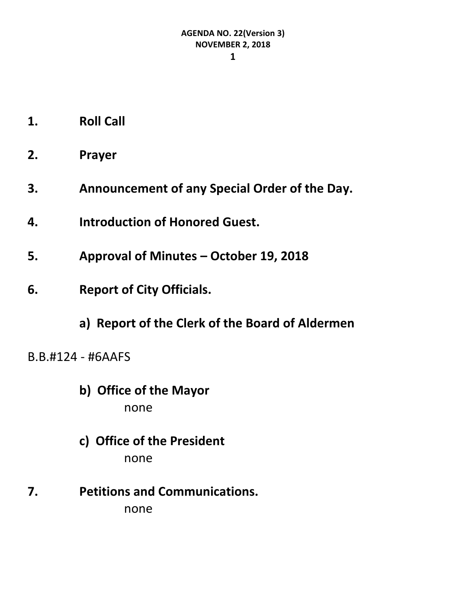- **1. Roll Call**
- **2. Prayer**
- **3. Announcement of any Special Order of the Day.**
- **4. Introduction of Honored Guest.**
- **5. Approval of Minutes – October 19, 2018**
- **6. Report of City Officials.**
	- **a) Report of the Clerk of the Board of Aldermen**
- B.B.#124 #6AAFS
	- **b) Office of the Mayor** none
	- **c) Office of the President** none
- **7. Petitions and Communications.** none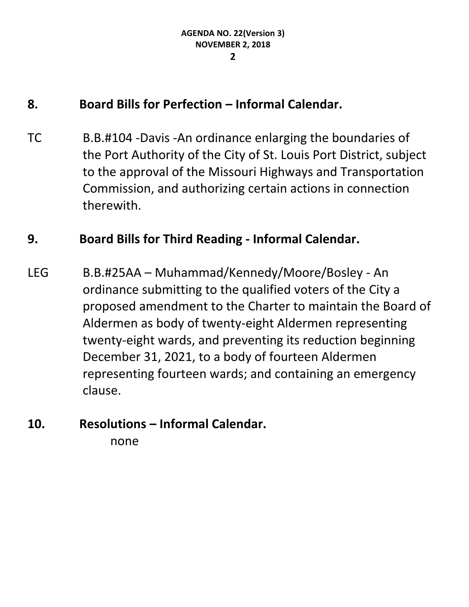#### **8. Board Bills for Perfection – Informal Calendar.**

TC B.B.#104 -Davis -An ordinance enlarging the boundaries of the Port Authority of the City of St. Louis Port District, subject to the approval of the Missouri Highways and Transportation Commission, and authorizing certain actions in connection therewith.

#### **9. Board Bills for Third Reading - Informal Calendar.**

LEG B.B.#25AA – Muhammad/Kennedy/Moore/Bosley - An ordinance submitting to the qualified voters of the City a proposed amendment to the Charter to maintain the Board of Aldermen as body of twenty-eight Aldermen representing twenty-eight wards, and preventing its reduction beginning December 31, 2021, to a body of fourteen Aldermen representing fourteen wards; and containing an emergency clause.

# **10. Resolutions – Informal Calendar.**

none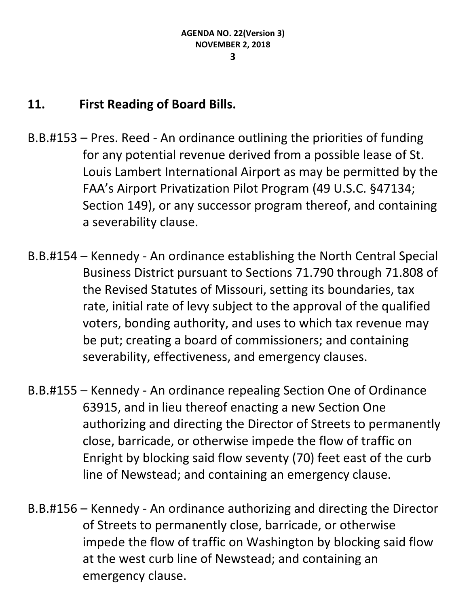#### **11. First Reading of Board Bills.**

- B.B.#153 Pres. Reed An ordinance outlining the priorities of funding for any potential revenue derived from a possible lease of St. Louis Lambert International Airport as may be permitted by the FAA's Airport Privatization Pilot Program (49 U.S.C. §47134; Section 149), or any successor program thereof, and containing a severability clause.
- B.B.#154 Kennedy An ordinance establishing the North Central Special Business District pursuant to Sections 71.790 through 71.808 of the Revised Statutes of Missouri, setting its boundaries, tax rate, initial rate of levy subject to the approval of the qualified voters, bonding authority, and uses to which tax revenue may be put; creating a board of commissioners; and containing severability, effectiveness, and emergency clauses.
- B.B.#155 Kennedy An ordinance repealing Section One of Ordinance 63915, and in lieu thereof enacting a new Section One authorizing and directing the Director of Streets to permanently close, barricade, or otherwise impede the flow of traffic on Enright by blocking said flow seventy (70) feet east of the curb line of Newstead; and containing an emergency clause.
- B.B.#156 Kennedy An ordinance authorizing and directing the Director of Streets to permanently close, barricade, or otherwise impede the flow of traffic on Washington by blocking said flow at the west curb line of Newstead; and containing an emergency clause.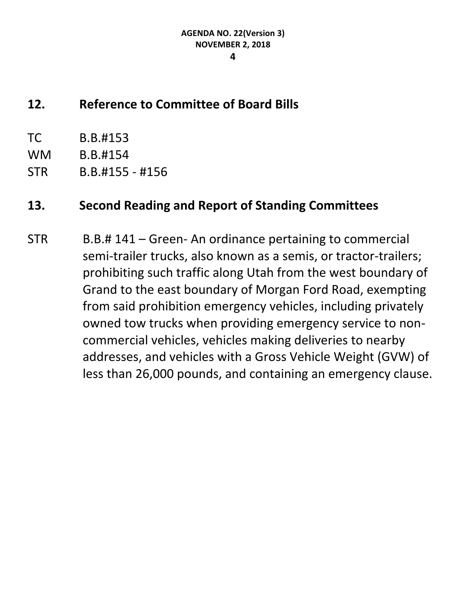#### **4**

#### **12. Reference to Committee of Board Bills**

- TC B.B.#153
- WM B.B.#154
- STR B.B.#155 #156

#### **13. Second Reading and Report of Standing Committees**

STR B.B.# 141 – Green- An ordinance pertaining to commercial semi-trailer trucks, also known as a semis, or tractor-trailers; prohibiting such traffic along Utah from the west boundary of Grand to the east boundary of Morgan Ford Road, exempting from said prohibition emergency vehicles, including privately owned tow trucks when providing emergency service to noncommercial vehicles, vehicles making deliveries to nearby addresses, and vehicles with a Gross Vehicle Weight (GVW) of less than 26,000 pounds, and containing an emergency clause.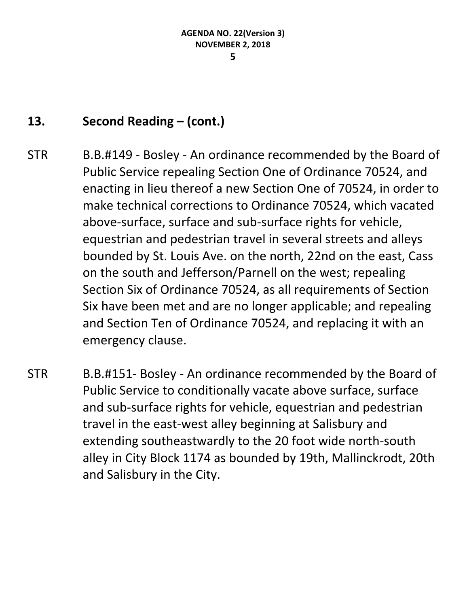#### **13. Second Reading – (cont.)**

- STR B.B.#149 Bosley An ordinance recommended by the Board of Public Service repealing Section One of Ordinance 70524, and enacting in lieu thereof a new Section One of 70524, in order to make technical corrections to Ordinance 70524, which vacated above-surface, surface and sub-surface rights for vehicle, equestrian and pedestrian travel in several streets and alleys bounded by St. Louis Ave. on the north, 22nd on the east, Cass on the south and Jefferson/Parnell on the west; repealing Section Six of Ordinance 70524, as all requirements of Section Six have been met and are no longer applicable; and repealing and Section Ten of Ordinance 70524, and replacing it with an emergency clause.
- STR B.B.#151- Bosley An ordinance recommended by the Board of Public Service to conditionally vacate above surface, surface and sub-surface rights for vehicle, equestrian and pedestrian travel in the east-west alley beginning at Salisbury and extending southeastwardly to the 20 foot wide north-south alley in City Block 1174 as bounded by 19th, Mallinckrodt, 20th and Salisbury in the City.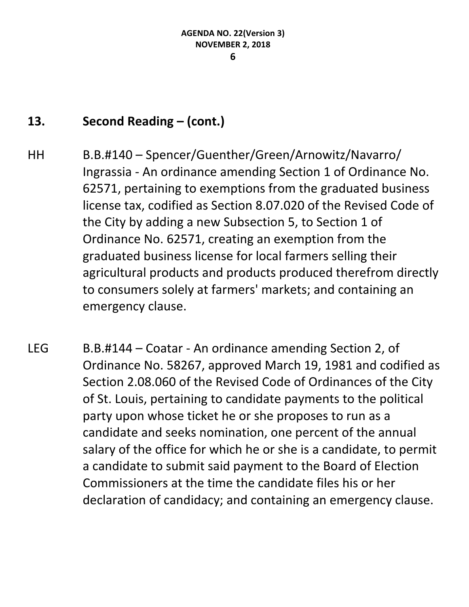#### **13. Second Reading – (cont.)**

- HH B.B.#140 Spencer/Guenther/Green/Arnowitz/Navarro/ Ingrassia - An ordinance amending Section 1 of Ordinance No. 62571, pertaining to exemptions from the graduated business license tax, codified as Section 8.07.020 of the Revised Code of the City by adding a new Subsection 5, to Section 1 of Ordinance No. 62571, creating an exemption from the graduated business license for local farmers selling their agricultural products and products produced therefrom directly to consumers solely at farmers' markets; and containing an emergency clause.
- LEG B.B.#144 Coatar An ordinance amending Section 2, of Ordinance No. 58267, approved March 19, 1981 and codified as Section 2.08.060 of the Revised Code of Ordinances of the City of St. Louis, pertaining to candidate payments to the political party upon whose ticket he or she proposes to run as a candidate and seeks nomination, one percent of the annual salary of the office for which he or she is a candidate, to permit a candidate to submit said payment to the Board of Election Commissioners at the time the candidate files his or her declaration of candidacy; and containing an emergency clause.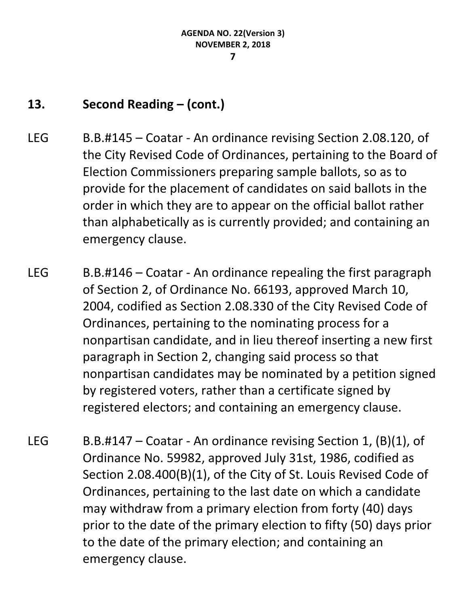#### **13. Second Reading – (cont.)**

- LEG B.B.#145 Coatar An ordinance revising Section 2.08.120, of the City Revised Code of Ordinances, pertaining to the Board of Election Commissioners preparing sample ballots, so as to provide for the placement of candidates on said ballots in the order in which they are to appear on the official ballot rather than alphabetically as is currently provided; and containing an emergency clause.
- LEG  $B.B. #146 \text{Coatar} \text{An ordiance repeating the first paragraph}$ of Section 2, of Ordinance No. 66193, approved March 10, 2004, codified as Section 2.08.330 of the City Revised Code of Ordinances, pertaining to the nominating process for a nonpartisan candidate, and in lieu thereof inserting a new first paragraph in Section 2, changing said process so that nonpartisan candidates may be nominated by a petition signed by registered voters, rather than a certificate signed by registered electors; and containing an emergency clause.
- LEG B.B.#147 Coatar An ordinance revising Section 1,  $(B)(1)$ , of Ordinance No. 59982, approved July 31st, 1986, codified as Section 2.08.400(B)(1), of the City of St. Louis Revised Code of Ordinances, pertaining to the last date on which a candidate may withdraw from a primary election from forty (40) days prior to the date of the primary election to fifty (50) days prior to the date of the primary election; and containing an emergency clause.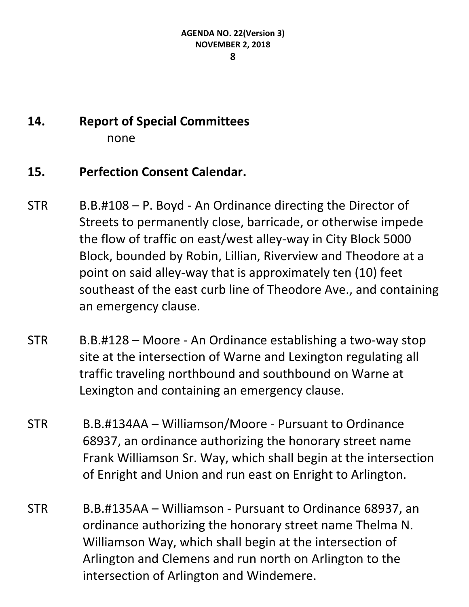## **14. Report of Special Committees** none

#### **15. Perfection Consent Calendar.**

- STR B.B.#108 P. Boyd An Ordinance directing the Director of Streets to permanently close, barricade, or otherwise impede the flow of traffic on east/west alley-way in City Block 5000 Block, bounded by Robin, Lillian, Riverview and Theodore at a point on said alley-way that is approximately ten (10) feet southeast of the east curb line of Theodore Ave., and containing an emergency clause.
- STR B.B.#128 Moore An Ordinance establishing a two-way stop site at the intersection of Warne and Lexington regulating all traffic traveling northbound and southbound on Warne at Lexington and containing an emergency clause.
- STR B.B.#134AA Williamson/Moore Pursuant to Ordinance 68937, an ordinance authorizing the honorary street name Frank Williamson Sr. Way, which shall begin at the intersection of Enright and Union and run east on Enright to Arlington.
- STR B.B.#135AA Williamson Pursuant to Ordinance 68937, an ordinance authorizing the honorary street name Thelma N. Williamson Way, which shall begin at the intersection of Arlington and Clemens and run north on Arlington to the intersection of Arlington and Windemere.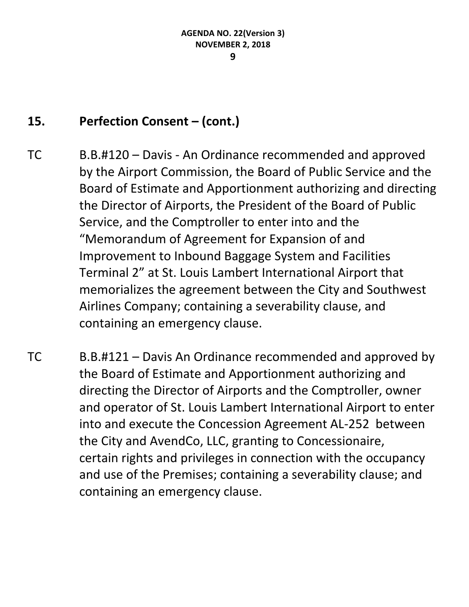#### 15. **Perfection Consent – (cont.)**

- TC B.B.#120 Davis An Ordinance recommended and approved by the Airport Commission, the Board of Public Service and the Board of Estimate and Apportionment authorizing and directing the Director of Airports, the President of the Board of Public Service, and the Comptroller to enter into and the "Memorandum of Agreement for Expansion of and Improvement to Inbound Baggage System and Facilities Terminal 2" at St. Louis Lambert International Airport that memorializes the agreement between the City and Southwest Airlines Company; containing a severability clause, and containing an emergency clause.
- TC B.B.#121 Davis An Ordinance recommended and approved by the Board of Estimate and Apportionment authorizing and directing the Director of Airports and the Comptroller, owner and operator of St. Louis Lambert International Airport to enter into and execute the Concession Agreement AL-252 between the City and AvendCo, LLC, granting to Concessionaire, certain rights and privileges in connection with the occupancy and use of the Premises; containing a severability clause; and containing an emergency clause.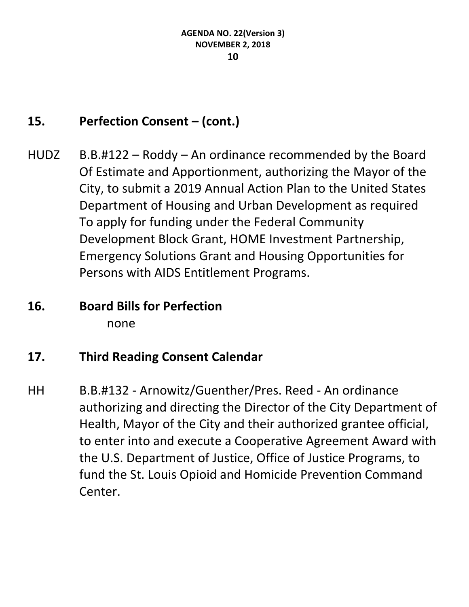### 15. **Perfection Consent – (cont.)**

- HUDZ B.B.#122 Roddy An ordinance recommended by the Board Of Estimate and Apportionment, authorizing the Mayor of the City, to submit a 2019 Annual Action Plan to the United States Department of Housing and Urban Development as required To apply for funding under the Federal Community Development Block Grant, HOME Investment Partnership, Emergency Solutions Grant and Housing Opportunities for Persons with AIDS Entitlement Programs.
- **16. Board Bills for Perfection** none

#### **17. Third Reading Consent Calendar**

HH B.B.#132 - Arnowitz/Guenther/Pres. Reed - An ordinance authorizing and directing the Director of the City Department of Health, Mayor of the City and their authorized grantee official, to enter into and execute a Cooperative Agreement Award with the U.S. Department of Justice, Office of Justice Programs, to fund the St. Louis Opioid and Homicide Prevention Command Center.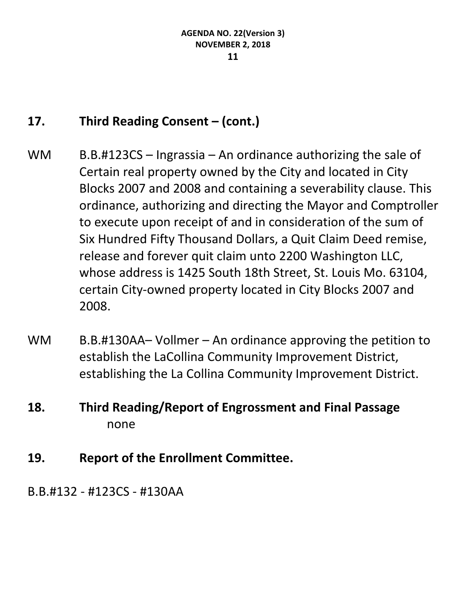#### **17. Third Reading Consent – (cont.)**

- WM  $B.B. #123CS Ingrassia An ordinance authorizing the sale of$ Certain real property owned by the City and located in City Blocks 2007 and 2008 and containing a severability clause. This ordinance, authorizing and directing the Mayor and Comptroller to execute upon receipt of and in consideration of the sum of Six Hundred Fifty Thousand Dollars, a Quit Claim Deed remise, release and forever quit claim unto 2200 Washington LLC, whose address is 1425 South 18th Street, St. Louis Mo. 63104, certain City-owned property located in City Blocks 2007 and 2008.
- WM B.B.#130AA– Vollmer An ordinance approving the petition to establish the LaCollina Community Improvement District, establishing the La Collina Community Improvement District.
- **18. Third Reading/Report of Engrossment and Final Passage** none
- **19. Report of the Enrollment Committee.**

B.B.#132 - #123CS - #130AA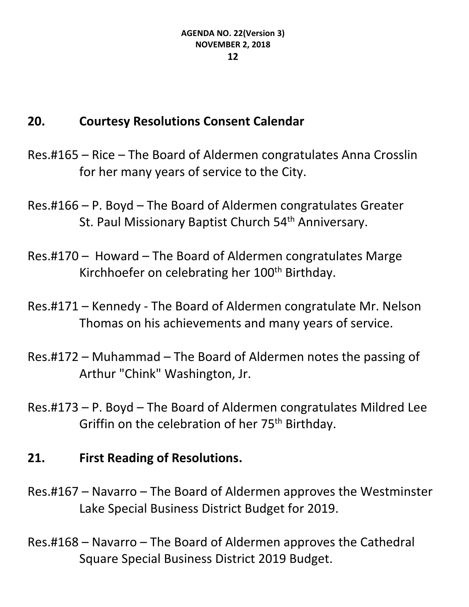#### **20. Courtesy Resolutions Consent Calendar**

- Res.#165 Rice The Board of Aldermen congratulates Anna Crosslin for her many years of service to the City.
- Res.#166 P. Boyd The Board of Aldermen congratulates Greater St. Paul Missionary Baptist Church 54<sup>th</sup> Anniversary.
- Res.#170 Howard The Board of Aldermen congratulates Marge Kirchhoefer on celebrating her 100<sup>th</sup> Birthday.
- Res.#171 Kennedy The Board of Aldermen congratulate Mr. Nelson Thomas on his achievements and many years of service.
- Res.#172 Muhammad The Board of Aldermen notes the passing of Arthur "Chink" Washington, Jr.
- Res.#173 P. Boyd The Board of Aldermen congratulates Mildred Lee Griffin on the celebration of her 75<sup>th</sup> Birthday.

#### **21. First Reading of Resolutions.**

- Res.#167 Navarro The Board of Aldermen approves the Westminster Lake Special Business District Budget for 2019.
- Res.#168 Navarro The Board of Aldermen approves the Cathedral Square Special Business District 2019 Budget.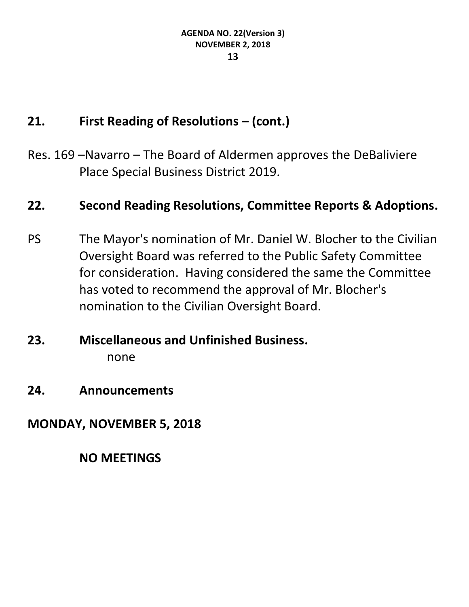#### **21. First Reading of Resolutions – (cont.)**

Res. 169 –Navarro – The Board of Aldermen approves the DeBaliviere Place Special Business District 2019.

#### **22. Second Reading Resolutions, Committee Reports & Adoptions.**

- PS The Mayor's nomination of Mr. Daniel W. Blocher to the Civilian Oversight Board was referred to the Public Safety Committee for consideration. Having considered the same the Committee has voted to recommend the approval of Mr. Blocher's nomination to the Civilian Oversight Board.
- **23. Miscellaneous and Unfinished Business.** none
- **24. Announcements**

**MONDAY, NOVEMBER 5, 2018**

**NO MEETINGS**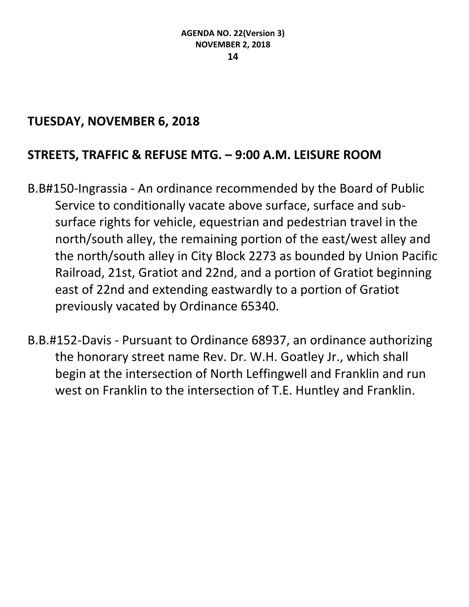#### **TUESDAY, NOVEMBER 6, 2018**

#### **STREETS, TRAFFIC & REFUSE MTG. – 9:00 A.M. LEISURE ROOM**

- B.B#150-Ingrassia An ordinance recommended by the Board of Public Service to conditionally vacate above surface, surface and subsurface rights for vehicle, equestrian and pedestrian travel in the north/south alley, the remaining portion of the east/west alley and the north/south alley in City Block 2273 as bounded by Union Pacific Railroad, 21st, Gratiot and 22nd, and a portion of Gratiot beginning east of 22nd and extending eastwardly to a portion of Gratiot previously vacated by Ordinance 65340.
- B.B.#152-Davis Pursuant to Ordinance 68937, an ordinance authorizing the honorary street name Rev. Dr. W.H. Goatley Jr., which shall begin at the intersection of North Leffingwell and Franklin and run west on Franklin to the intersection of T.E. Huntley and Franklin.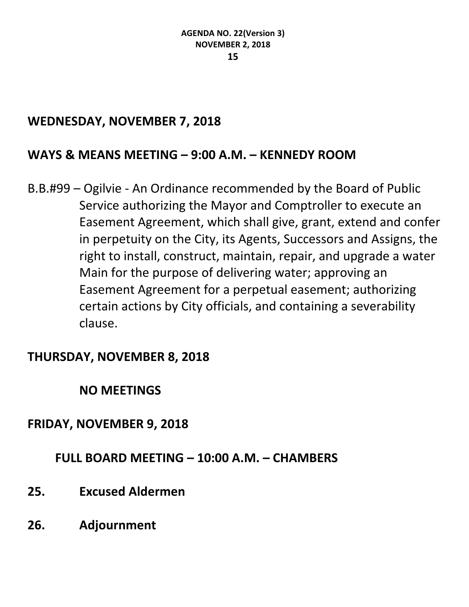#### **WEDNESDAY, NOVEMBER 7, 2018**

#### **WAYS & MEANS MEETING – 9:00 A.M. – KENNEDY ROOM**

B.B.#99 – Ogilvie - An Ordinance recommended by the Board of Public Service authorizing the Mayor and Comptroller to execute an Easement Agreement, which shall give, grant, extend and confer in perpetuity on the City, its Agents, Successors and Assigns, the right to install, construct, maintain, repair, and upgrade a water Main for the purpose of delivering water; approving an Easement Agreement for a perpetual easement; authorizing certain actions by City officials, and containing a severability clause.

#### **THURSDAY, NOVEMBER 8, 2018**

#### **NO MEETINGS**

#### **FRIDAY, NOVEMBER 9, 2018**

#### **FULL BOARD MEETING – 10:00 A.M. – CHAMBERS**

- **25. Excused Aldermen**
- **26. Adjournment**